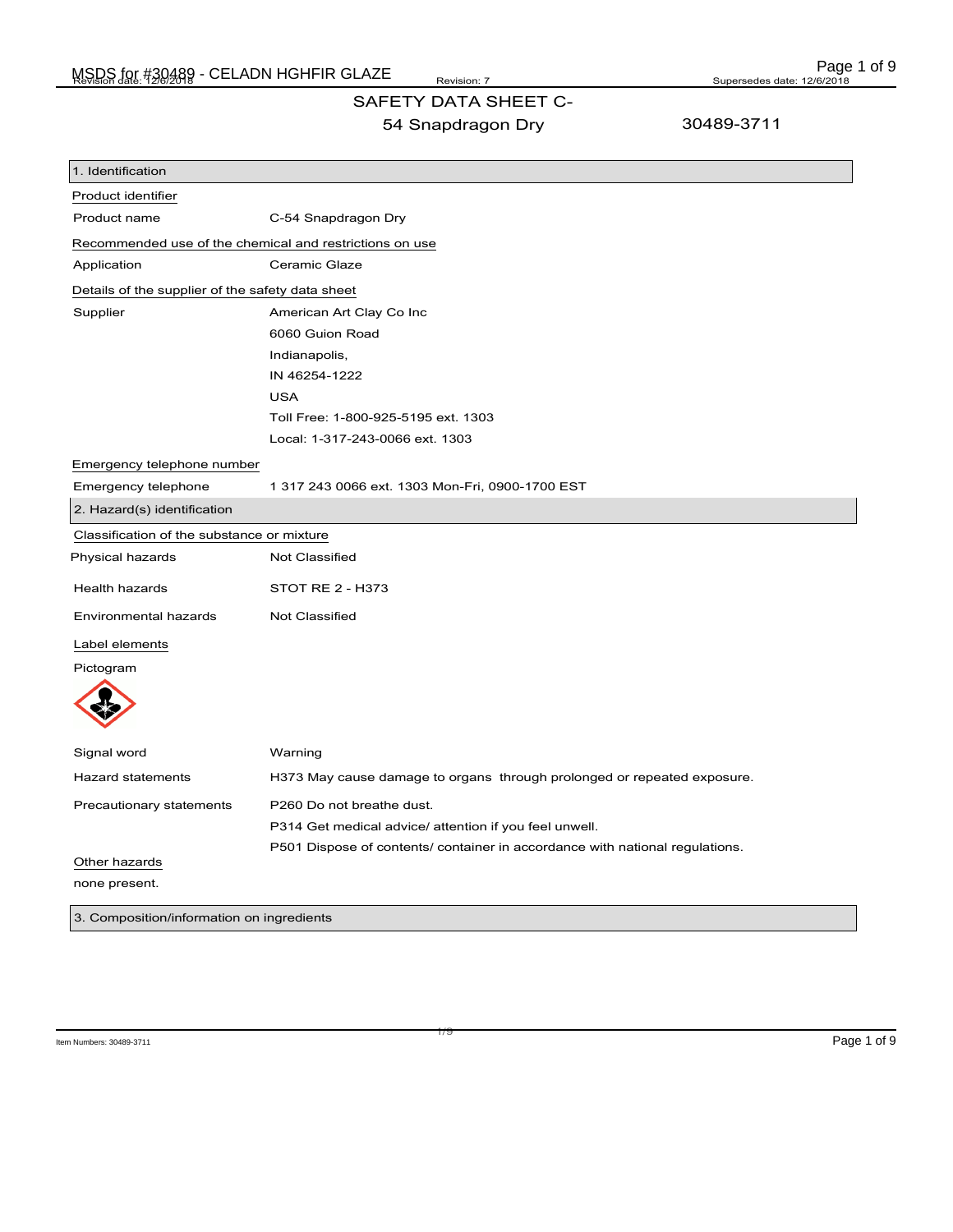## SAFETY DATA SHEET C-

54 Snapdragon Dry

30489-3711

| 1. Identification                                       |                                                                              |  |
|---------------------------------------------------------|------------------------------------------------------------------------------|--|
| Product identifier                                      |                                                                              |  |
| Product name                                            | C-54 Snapdragon Dry                                                          |  |
| Recommended use of the chemical and restrictions on use |                                                                              |  |
| Application                                             | Ceramic Glaze                                                                |  |
| Details of the supplier of the safety data sheet        |                                                                              |  |
| Supplier                                                | American Art Clay Co Inc                                                     |  |
|                                                         | 6060 Guion Road                                                              |  |
|                                                         | Indianapolis,                                                                |  |
|                                                         | IN 46254-1222                                                                |  |
|                                                         | <b>USA</b>                                                                   |  |
|                                                         | Toll Free: 1-800-925-5195 ext. 1303                                          |  |
|                                                         | Local: 1-317-243-0066 ext. 1303                                              |  |
| Emergency telephone number                              |                                                                              |  |
| Emergency telephone                                     | 1 317 243 0066 ext. 1303 Mon-Fri, 0900-1700 EST                              |  |
| 2. Hazard(s) identification                             |                                                                              |  |
| Classification of the substance or mixture              |                                                                              |  |
| Physical hazards                                        | <b>Not Classified</b>                                                        |  |
| <b>Health hazards</b>                                   | <b>STOT RE 2 - H373</b>                                                      |  |
| Environmental hazards                                   | <b>Not Classified</b>                                                        |  |
| Label elements                                          |                                                                              |  |
| Pictogram                                               |                                                                              |  |
|                                                         |                                                                              |  |
| Signal word                                             | Warning                                                                      |  |
| <b>Hazard statements</b>                                | H373 May cause damage to organs through prolonged or repeated exposure.      |  |
|                                                         | P260 Do not breathe dust.                                                    |  |
| Precautionary statements                                | P314 Get medical advice/ attention if you feel unwell.                       |  |
|                                                         | P501 Dispose of contents/ container in accordance with national regulations. |  |
| Other hazards                                           |                                                                              |  |
| none present.                                           |                                                                              |  |
| 3. Composition/information on ingredients               |                                                                              |  |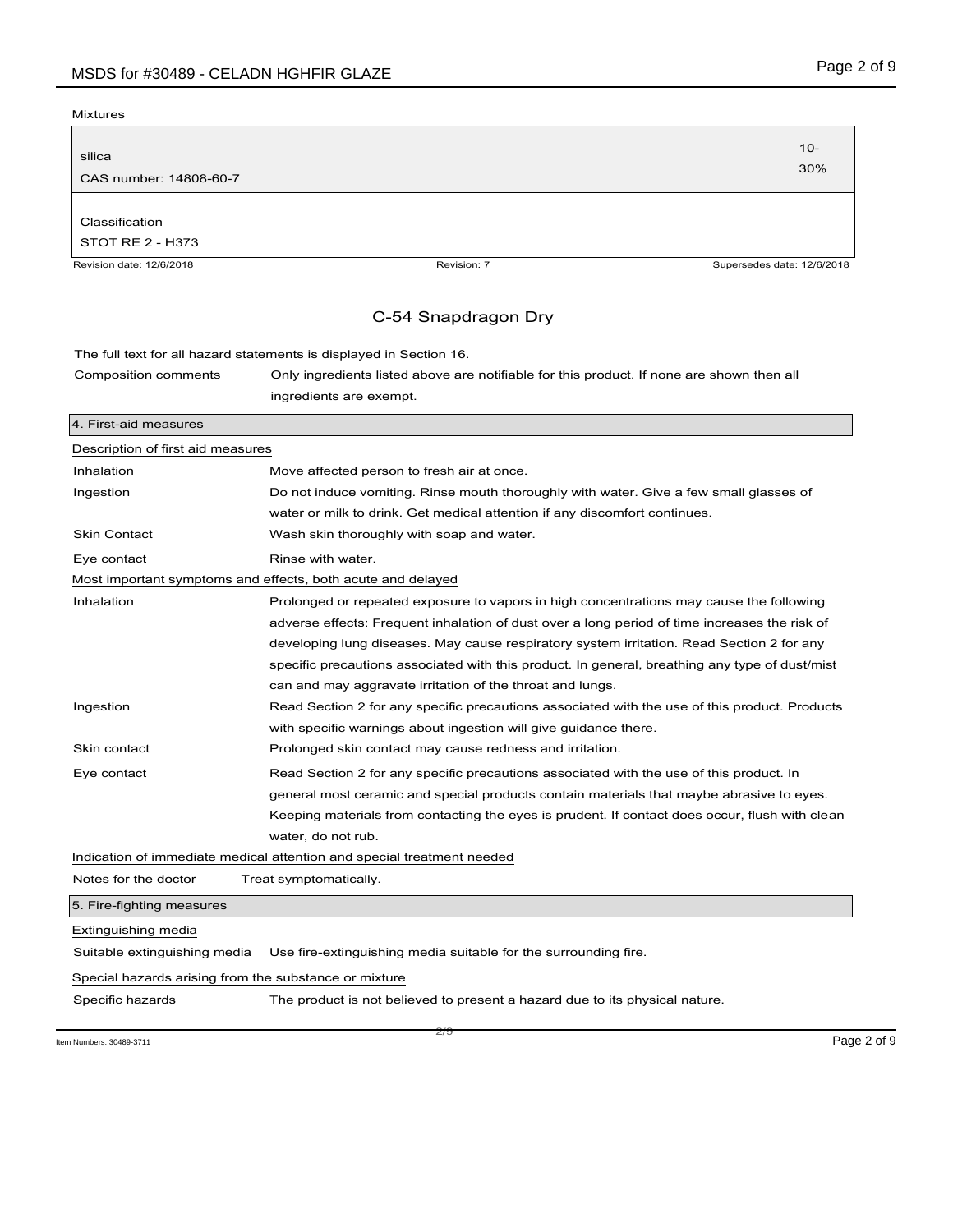| Mixtures                 |                                                                                           |                            |
|--------------------------|-------------------------------------------------------------------------------------------|----------------------------|
|                          |                                                                                           |                            |
| silica                   |                                                                                           | $10 -$                     |
| CAS number: 14808-60-7   |                                                                                           | 30%                        |
|                          |                                                                                           |                            |
| Classification           |                                                                                           |                            |
| STOT RE 2 - H373         |                                                                                           |                            |
| Revision date: 12/6/2018 | Revision: 7                                                                               | Supersedes date: 12/6/2018 |
|                          | C-54 Snapdragon Dry                                                                       |                            |
|                          | The full text for all hazard statements is displayed in Section 16.                       |                            |
| Composition comments     | Only ingredients listed above are notifiable for this product. If none are shown then all |                            |
|                          | ingredients are exempt.                                                                   |                            |

| 4. First-aid measures             |                                                                                                |
|-----------------------------------|------------------------------------------------------------------------------------------------|
| Description of first aid measures |                                                                                                |
| Inhalation                        | Move affected person to fresh air at once.                                                     |
| Ingestion                         | Do not induce vomiting. Rinse mouth thoroughly with water. Give a few small glasses of         |
|                                   | water or milk to drink. Get medical attention if any discomfort continues.                     |
| <b>Skin Contact</b>               | Wash skin thoroughly with soap and water.                                                      |
| Eye contact                       | Rinse with water.                                                                              |
|                                   | Most important symptoms and effects, both acute and delayed                                    |
| Inhalation                        | Prolonged or repeated exposure to vapors in high concentrations may cause the following        |
|                                   | adverse effects: Frequent inhalation of dust over a long period of time increases the risk of  |
|                                   | developing lung diseases. May cause respiratory system irritation. Read Section 2 for any      |
|                                   | specific precautions associated with this product. In general, breathing any type of dust/mist |
|                                   | can and may aggravate irritation of the throat and lungs.                                      |
| Ingestion                         | Read Section 2 for any specific precautions associated with the use of this product. Products  |
|                                   | with specific warnings about ingestion will give guidance there.                               |
| Skin contact                      | Prolonged skin contact may cause redness and irritation.                                       |
| Eye contact                       | Read Section 2 for any specific precautions associated with the use of this product. In        |
|                                   | general most ceramic and special products contain materials that maybe abrasive to eyes.       |
|                                   | Keeping materials from contacting the eyes is prudent. If contact does occur, flush with clean |
|                                   | water, do not rub.                                                                             |
|                                   | Indication of immediate medical attention and special treatment needed                         |
| Notes for the doctor              | Treat symptomatically.                                                                         |

5. Fire-fighting measures

Extinguishing media

Suitable extinguishing media Use fire-extinguishing media suitable for the surrounding fire.

Special hazards arising from the substance or mixture

Specific hazards The product is not believed to present a hazard due to its physical nature.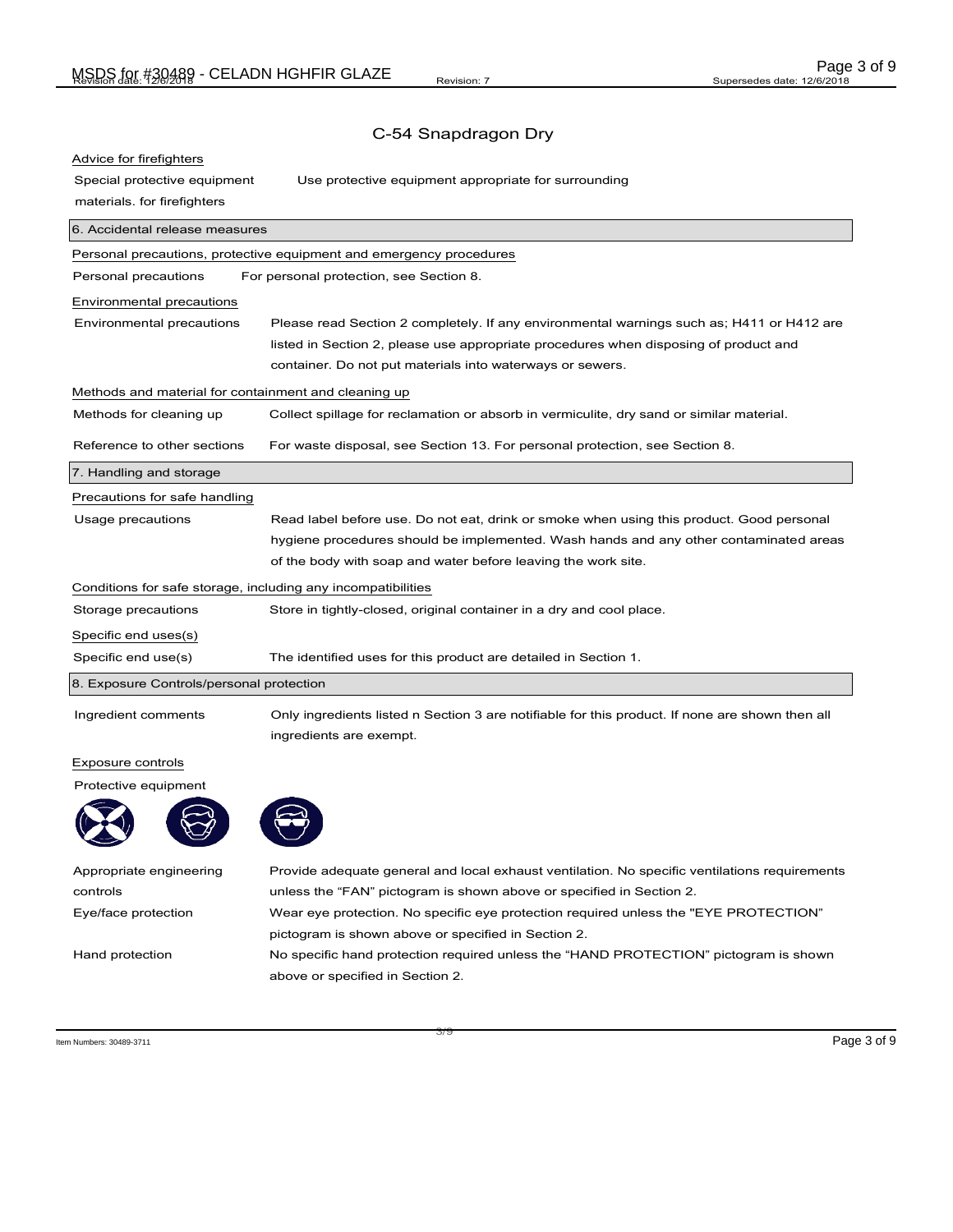| Advice for firefighters                                      |                                                                                                 |
|--------------------------------------------------------------|-------------------------------------------------------------------------------------------------|
| Special protective equipment                                 | Use protective equipment appropriate for surrounding                                            |
| materials. for firefighters                                  |                                                                                                 |
| 6. Accidental release measures                               |                                                                                                 |
|                                                              | Personal precautions, protective equipment and emergency procedures                             |
| Personal precautions                                         | For personal protection, see Section 8.                                                         |
| Environmental precautions                                    |                                                                                                 |
| Environmental precautions                                    | Please read Section 2 completely. If any environmental warnings such as; H411 or H412 are       |
|                                                              | listed in Section 2, please use appropriate procedures when disposing of product and            |
|                                                              | container. Do not put materials into waterways or sewers.                                       |
| Methods and material for containment and cleaning up         |                                                                                                 |
| Methods for cleaning up                                      | Collect spillage for reclamation or absorb in vermiculite, dry sand or similar material.        |
| Reference to other sections                                  | For waste disposal, see Section 13. For personal protection, see Section 8.                     |
| 7. Handling and storage                                      |                                                                                                 |
| Precautions for safe handling                                |                                                                                                 |
| Usage precautions                                            | Read label before use. Do not eat, drink or smoke when using this product. Good personal        |
|                                                              | hygiene procedures should be implemented. Wash hands and any other contaminated areas           |
|                                                              | of the body with soap and water before leaving the work site.                                   |
| Conditions for safe storage, including any incompatibilities |                                                                                                 |
| Storage precautions                                          | Store in tightly-closed, original container in a dry and cool place.                            |
| Specific end uses(s)                                         |                                                                                                 |
| Specific end use(s)                                          | The identified uses for this product are detailed in Section 1.                                 |
| 8. Exposure Controls/personal protection                     |                                                                                                 |
| Ingredient comments                                          | Only ingredients listed n Section 3 are notifiable for this product. If none are shown then all |
|                                                              | ingredients are exempt.                                                                         |
| Exposure controls                                            |                                                                                                 |
| Protective equipment                                         |                                                                                                 |
|                                                              |                                                                                                 |

| Appropriate engineering | Provide adequate general and local exhaust ventilation. No specific ventilations requirements |
|-------------------------|-----------------------------------------------------------------------------------------------|
| controls                | unless the "FAN" pictogram is shown above or specified in Section 2.                          |
| Eye/face protection     | Wear eye protection. No specific eye protection required unless the "EYE PROTECTION"          |
|                         | pictogram is shown above or specified in Section 2.                                           |
| Hand protection         | No specific hand protection required unless the "HAND PROTECTION" pictogram is shown          |
|                         | above or specified in Section 2.                                                              |
|                         |                                                                                               |

 $\overline{\phantom{a}}$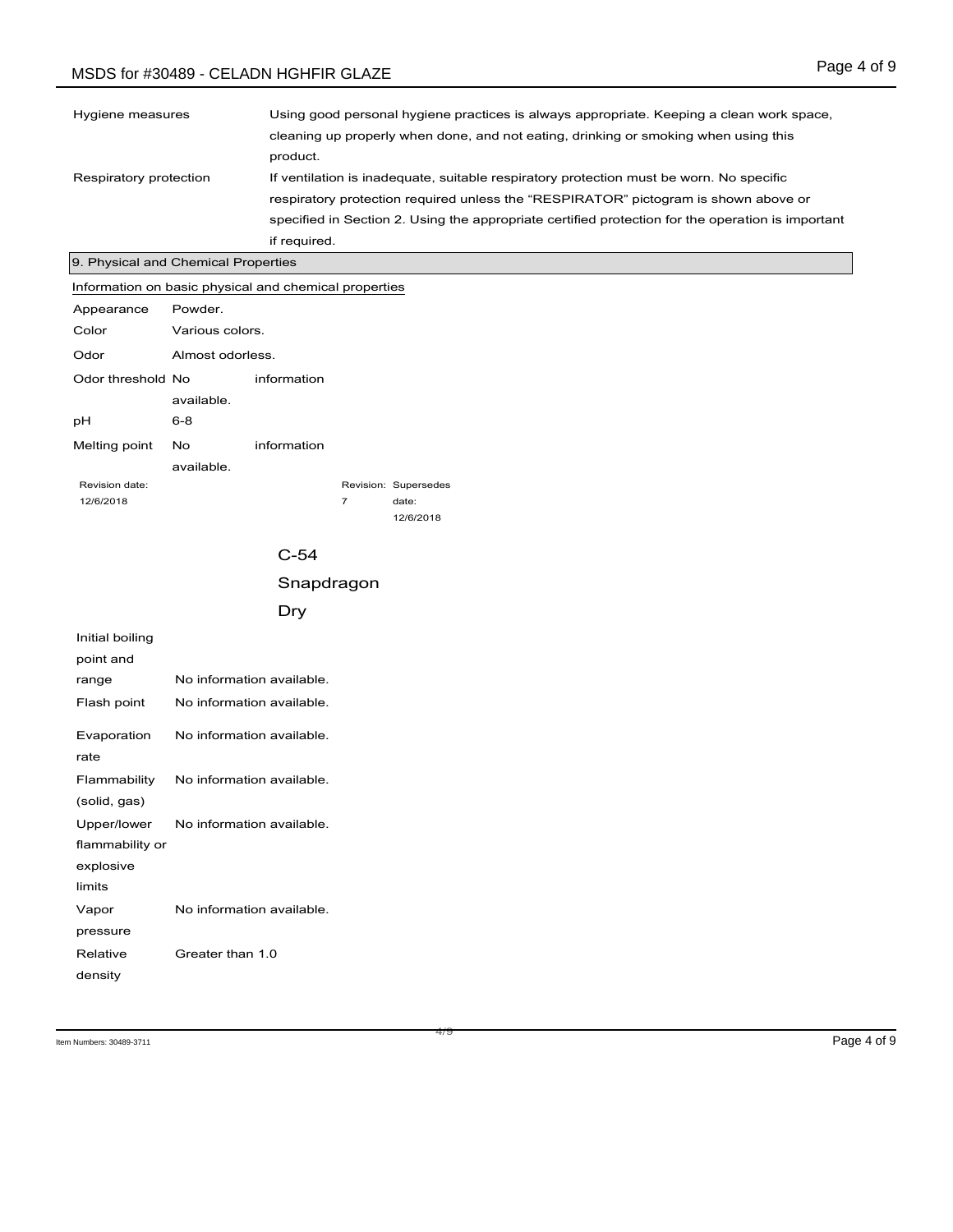# MSDS for #30489 - CELADN HGHFIR GLAZE

| Hygiene measures       | Using good personal hygiene practices is always appropriate. Keeping a clean work space,          |
|------------------------|---------------------------------------------------------------------------------------------------|
|                        | cleaning up properly when done, and not eating, drinking or smoking when using this               |
|                        | product.                                                                                          |
| Respiratory protection | If ventilation is inadequate, suitable respiratory protection must be worn. No specific           |
|                        | respiratory protection required unless the "RESPIRATOR" pictogram is shown above or               |
|                        | specified in Section 2. Using the appropriate certified protection for the operation is important |
|                        | if required.                                                                                      |

#### 9. Physical and Chemical Properties

Information on basic physical and chemical properties

| Appearance        | Powder.          |             |                |                      |
|-------------------|------------------|-------------|----------------|----------------------|
| Color             | Various colors.  |             |                |                      |
| Odor              | Almost odorless. |             |                |                      |
| Odor threshold No |                  | information |                |                      |
|                   | available.       |             |                |                      |
| рH                | $6 - 8$          |             |                |                      |
| Melting point     | No               | information |                |                      |
|                   | available.       |             |                |                      |
| Revision date:    |                  |             |                | Revision: Supersedes |
| 12/6/2018         |                  |             | $\overline{7}$ | date:                |
|                   |                  |             |                | 12/6/2018            |

## C-54 Snapdragon Dry

| Initial boiling |                           |
|-----------------|---------------------------|
| point and       |                           |
| range           | No information available. |
| Flash point     | No information available. |
| Evaporation     | No information available. |
| rate            |                           |
| Flammability    | No information available. |
| (solid, gas)    |                           |
| Upper/lower     | No information available. |
| flammability or |                           |
| explosive       |                           |
| limits          |                           |
| Vapor           | No information available. |
| pressure        |                           |
| Relative        | Greater than 1.0          |
| density         |                           |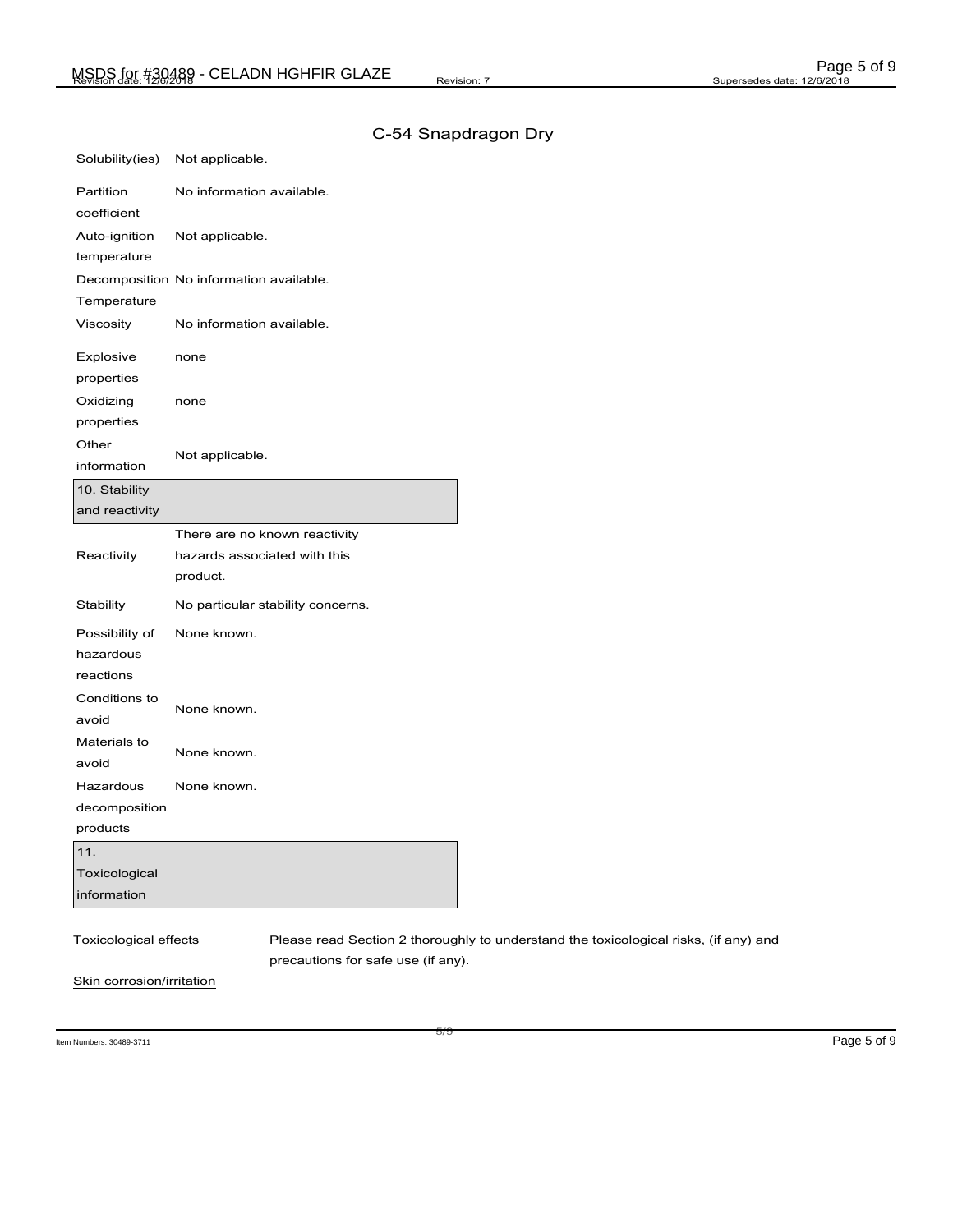| Solubility(ies)        | Not applicable.                                                                      |
|------------------------|--------------------------------------------------------------------------------------|
| Partition              | No information available.                                                            |
| coefficient            |                                                                                      |
| Auto-ignition          | Not applicable.                                                                      |
| temperature            |                                                                                      |
|                        | Decomposition No information available.                                              |
| Temperature            |                                                                                      |
| Viscosity              | No information available.                                                            |
| Explosive              | none                                                                                 |
| properties             |                                                                                      |
| Oxidizing              | none                                                                                 |
| properties             |                                                                                      |
| Other                  |                                                                                      |
| information            | Not applicable.                                                                      |
| 10. Stability          |                                                                                      |
| and reactivity         |                                                                                      |
|                        | There are no known reactivity                                                        |
| Reactivity             | hazards associated with this                                                         |
|                        | product.                                                                             |
| Stability              | No particular stability concerns.                                                    |
| Possibility of         | None known.                                                                          |
| hazardous              |                                                                                      |
| reactions              |                                                                                      |
| Conditions to<br>avoid | None known.                                                                          |
| Materials to           |                                                                                      |
| avoid                  | None known.                                                                          |
| Hazardous              | None known.                                                                          |
| decomposition          |                                                                                      |
| products               |                                                                                      |
| 11.                    |                                                                                      |
| Toxicological          |                                                                                      |
| information            |                                                                                      |
|                        |                                                                                      |
| Toxicological effects  | Please read Section 2 thoroughly to understand the toxicological risks, (if any) and |
|                        | precautions for safe use (if any).                                                   |

Item Numbers: 30489-3711 **Page 5 of 9** 

Skin corrosion/irritation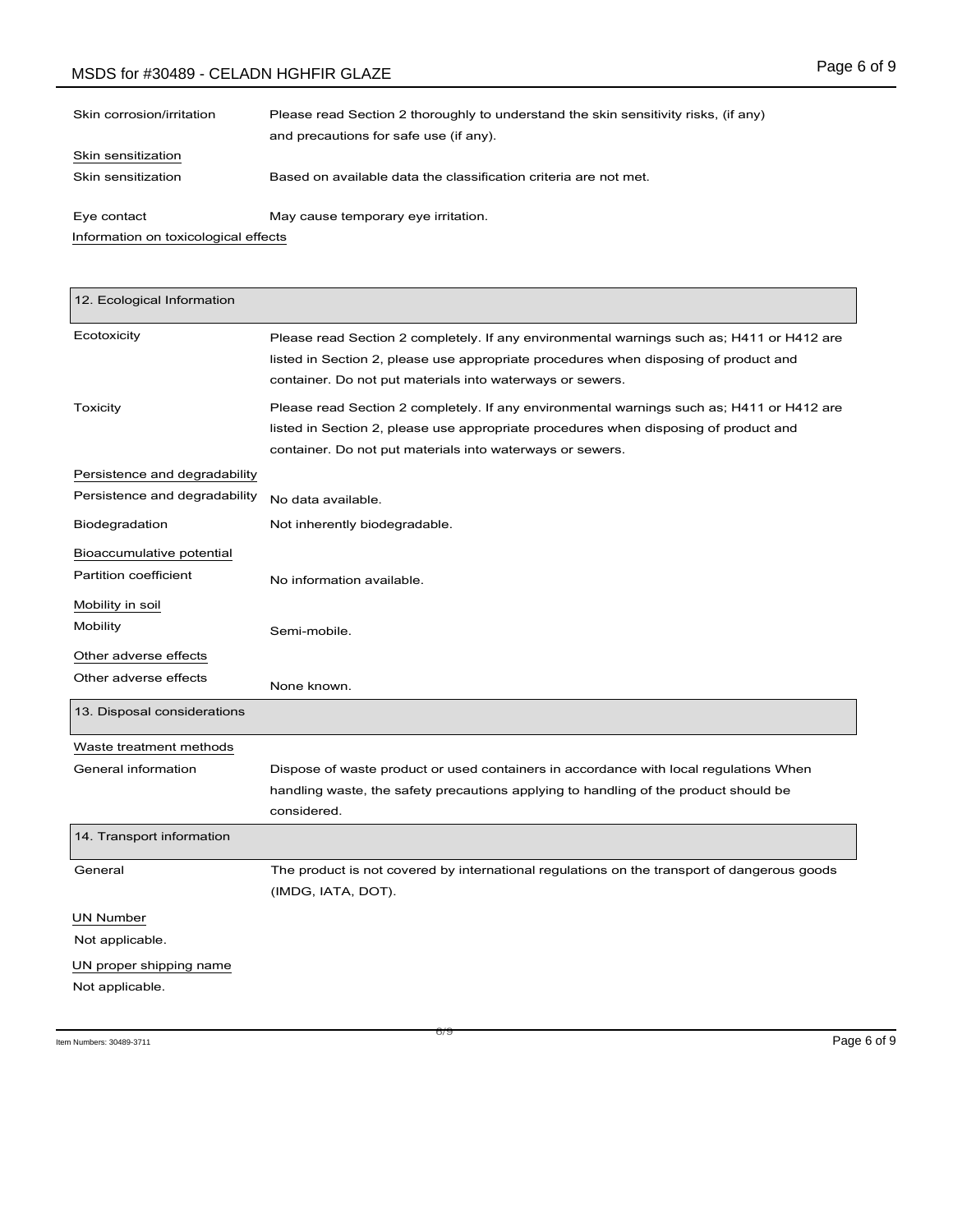# MSDS for #30489 - CELADN HGHFIR GLAZE

| Skin corrosion/irritation            | Please read Section 2 thoroughly to understand the skin sensitivity risks, (if any)<br>and precautions for safe use (if any). |
|--------------------------------------|-------------------------------------------------------------------------------------------------------------------------------|
| Skin sensitization                   |                                                                                                                               |
| Skin sensitization                   | Based on available data the classification criteria are not met.                                                              |
| Eye contact                          | May cause temporary eye irritation.                                                                                           |
| Information on toxicological effects |                                                                                                                               |

| 12. Ecological Information    |                                                                                                                                                                                                                                                |
|-------------------------------|------------------------------------------------------------------------------------------------------------------------------------------------------------------------------------------------------------------------------------------------|
| Ecotoxicity                   | Please read Section 2 completely. If any environmental warnings such as; H411 or H412 are<br>listed in Section 2, please use appropriate procedures when disposing of product and<br>container. Do not put materials into waterways or sewers. |
| Toxicity                      | Please read Section 2 completely. If any environmental warnings such as; H411 or H412 are<br>listed in Section 2, please use appropriate procedures when disposing of product and<br>container. Do not put materials into waterways or sewers. |
| Persistence and degradability |                                                                                                                                                                                                                                                |
| Persistence and degradability | No data available.                                                                                                                                                                                                                             |
| Biodegradation                | Not inherently biodegradable.                                                                                                                                                                                                                  |
| Bioaccumulative potential     |                                                                                                                                                                                                                                                |
| Partition coefficient         | No information available.                                                                                                                                                                                                                      |
| Mobility in soil              |                                                                                                                                                                                                                                                |
| Mobility                      | Semi-mobile.                                                                                                                                                                                                                                   |
| Other adverse effects         |                                                                                                                                                                                                                                                |
| Other adverse effects         | None known.                                                                                                                                                                                                                                    |
| 13. Disposal considerations   |                                                                                                                                                                                                                                                |
| Waste treatment methods       |                                                                                                                                                                                                                                                |
| General information           | Dispose of waste product or used containers in accordance with local regulations When<br>handling waste, the safety precautions applying to handling of the product should be<br>considered.                                                   |
| 14. Transport information     |                                                                                                                                                                                                                                                |
| General                       | The product is not covered by international regulations on the transport of dangerous goods<br>(IMDG, IATA, DOT).                                                                                                                              |
| <b>UN Number</b>              |                                                                                                                                                                                                                                                |
| Not applicable.               |                                                                                                                                                                                                                                                |
| UN proper shipping name       |                                                                                                                                                                                                                                                |
| Not applicable.               |                                                                                                                                                                                                                                                |

c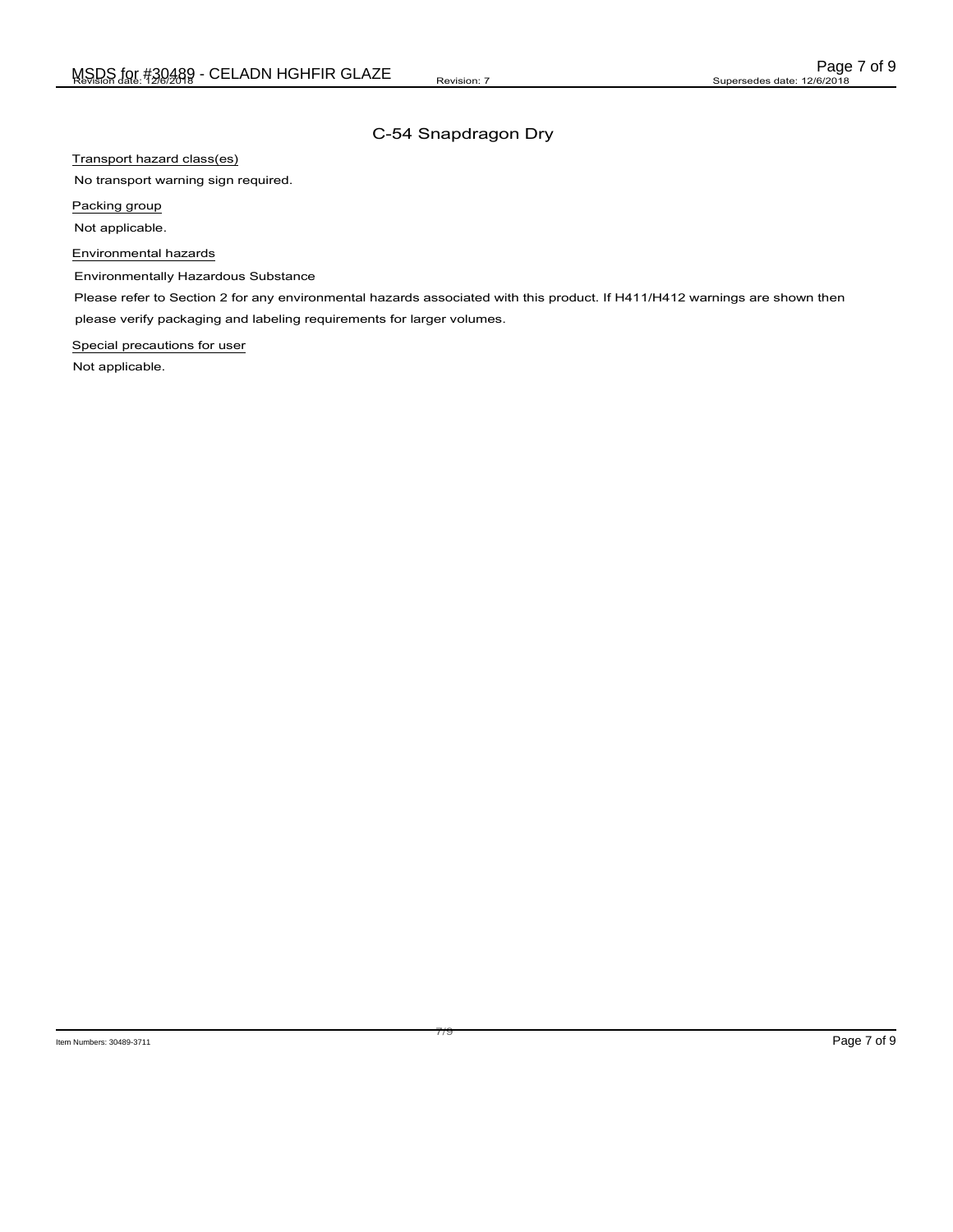Transport hazard class(es)

No transport warning sign required.

Packing group

Not applicable.

Environmental hazards

Environmentally Hazardous Substance

Please refer to Section 2 for any environmental hazards associated with this product. If H411/H412 warnings are shown then please verify packaging and labeling requirements for larger volumes.

Special precautions for user

Not applicable.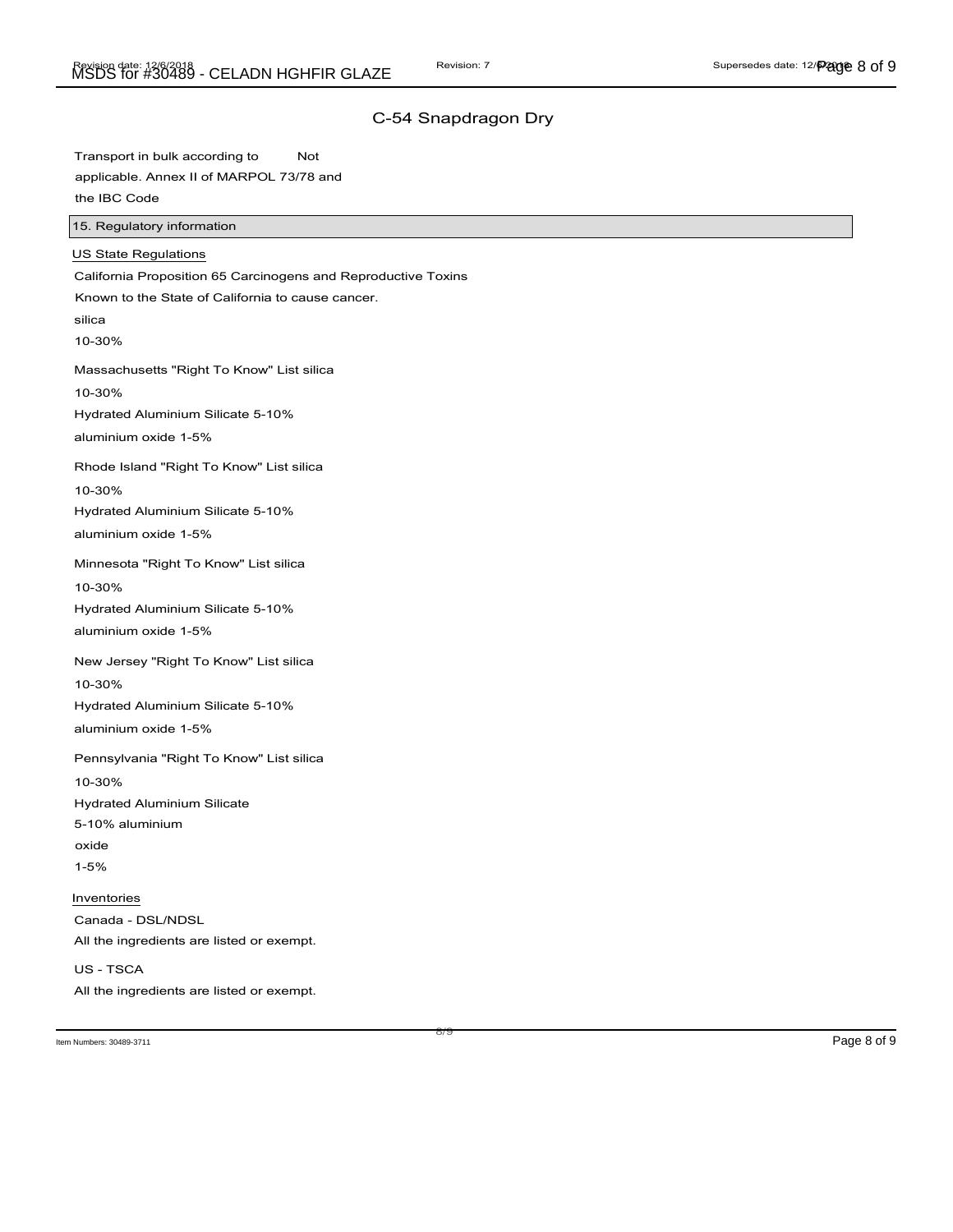Transport in bulk according to Not applicable. Annex II of MARPOL 73/78 and the IBC Code

15. Regulatory information

| US State Regulations                                          |
|---------------------------------------------------------------|
| California Proposition 65 Carcinogens and Reproductive Toxins |
| Known to the State of California to cause cancer.             |
| silica                                                        |
| 10-30%                                                        |
| Massachusetts "Right To Know" List silica                     |
| 10-30%                                                        |
| Hydrated Aluminium Silicate 5-10%                             |
| aluminium oxide 1-5%                                          |
| Rhode Island "Right To Know" List silica                      |
| 10-30%                                                        |
| Hydrated Aluminium Silicate 5-10%                             |
| aluminium oxide 1-5%                                          |
| Minnesota "Right To Know" List silica                         |
| 10-30%                                                        |
| Hydrated Aluminium Silicate 5-10%                             |
| aluminium oxide 1-5%                                          |
| New Jersey "Right To Know" List silica                        |
| 10-30%                                                        |
| Hydrated Aluminium Silicate 5-10%                             |
| aluminium oxide 1-5%                                          |
| Pennsylvania "Right To Know" List silica                      |
| 10-30%                                                        |
| <b>Hydrated Aluminium Silicate</b>                            |
| 5-10% aluminium                                               |
| oxide                                                         |
| $1 - 5%$                                                      |
| Inventories                                                   |
| Canada - DSL/NDSL                                             |
| All the ingredients are listed or exempt.                     |
| US - TSCA                                                     |
| All the ingredients are listed or exempt.                     |